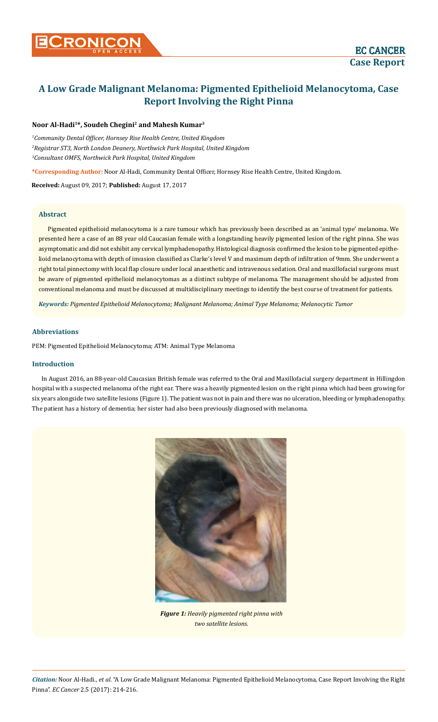# **A Low Grade Malignant Melanoma: Pigmented Epithelioid Melanocytoma, Case Report Involving the Right Pinna**

# **Noor Al-Hadi1\*, Soudeh Chegini2 and Mahesh Kumar3**

*1 Community Dental Officer, Hornsey Rise Health Centre, United Kingdom 2 Registrar ST3, North London Deanery, Northwick Park Hospital, United Kingdom 3 Consultant OMFS, Northwick Park Hospital, United Kingdom*

**\*Corresponding Author:** Noor Al-Hadi, Community Dental Officer, Hornsey Rise Health Centre, United Kingdom.

**Received:** August 09, 2017; **Published:** August 17, 2017

## **Abstract**

Pigmented epithelioid melanocytoma is a rare tumour which has previously been described as an 'animal type' melanoma. We presented here a case of an 88 year old Caucasian female with a longstanding heavily pigmented lesion of the right pinna. She was asymptomatic and did not exhibit any cervical lymphadenopathy. Histological diagnosis confirmed the lesion to be pigmented epithelioid melanocytoma with depth of invasion classified as Clarke's level V and maximum depth of infiltration of 9mm. She underwent a right total pinnectomy with local flap closure under local anaesthetic and intravenous sedation. Oral and maxillofacial surgeons must be aware of pigmented epithelioid melanocytomas as a distinct subtype of melanoma. The management should be adjusted from conventional melanoma and must be discussed at multidisciplinary meetings to identify the best course of treatment for patients.

*Keywords: Pigmented Epithelioid Melanocytoma; Malignant Melanoma; Animal Type Melanoma; Melanocytic Tumor*

## **Abbreviations**

PEM: Pigmented Epithelioid Melanocytoma; ATM: Animal Type Melanoma

## **Introduction**

In August 2016, an 88-year-old Caucasian British female was referred to the Oral and Maxillofacial surgery department in Hillingdon hospital with a suspected melanoma of the right ear. There was a heavily pigmented lesion on the right pinna which had been growing for six years alongside two satellite lesions (Figure 1). The patient was not in pain and there was no ulceration, bleeding or lymphadenopathy. The patient has a history of dementia; her sister had also been previously diagnosed with melanoma.



*Figure 1: Heavily pigmented right pinna with two satellite lesions.*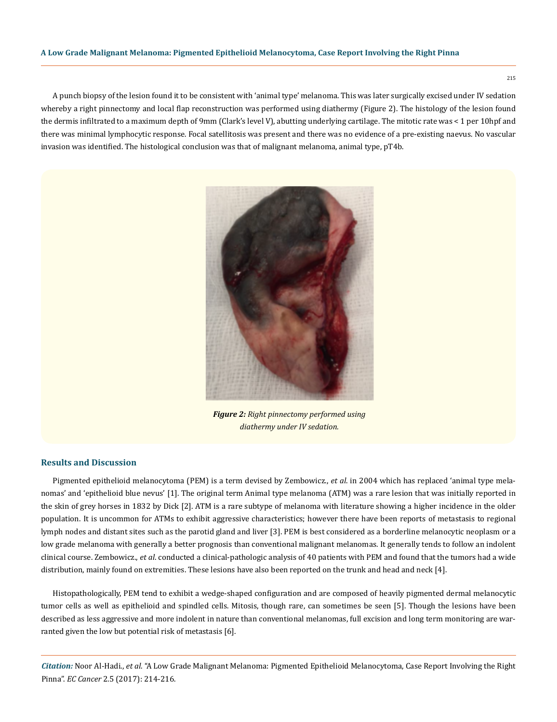#### **A Low Grade Malignant Melanoma: Pigmented Epithelioid Melanocytoma, Case Report Involving the Right Pinna**

A punch biopsy of the lesion found it to be consistent with 'animal type' melanoma. This was later surgically excised under IV sedation whereby a right pinnectomy and local flap reconstruction was performed using diathermy (Figure 2). The histology of the lesion found the dermis infiltrated to a maximum depth of 9mm (Clark's level V), abutting underlying cartilage. The mitotic rate was < 1 per 10hpf and there was minimal lymphocytic response. Focal satellitosis was present and there was no evidence of a pre-existing naevus. No vascular invasion was identified. The histological conclusion was that of malignant melanoma, animal type, pT4b.



*Figure 2: Right pinnectomy performed using diathermy under IV sedation.*

#### **Results and Discussion**

Pigmented epithelioid melanocytoma (PEM) is a term devised by Zembowicz., *et al*. in 2004 which has replaced 'animal type melanomas' and 'epithelioid blue nevus' [1]. The original term Animal type melanoma (ATM) was a rare lesion that was initially reported in the skin of grey horses in 1832 by Dick [2]. ATM is a rare subtype of melanoma with literature showing a higher incidence in the older population. It is uncommon for ATMs to exhibit aggressive characteristics; however there have been reports of metastasis to regional lymph nodes and distant sites such as the parotid gland and liver [3]. PEM is best considered as a borderline melanocytic neoplasm or a low grade melanoma with generally a better prognosis than conventional malignant melanomas. It generally tends to follow an indolent clinical course. Zembowicz., *et al*. conducted a clinical-pathologic analysis of 40 patients with PEM and found that the tumors had a wide distribution, mainly found on extremities. These lesions have also been reported on the trunk and head and neck [4].

Histopathologically, PEM tend to exhibit a wedge-shaped configuration and are composed of heavily pigmented dermal melanocytic tumor cells as well as epithelioid and spindled cells. Mitosis, though rare, can sometimes be seen [5]. Though the lesions have been described as less aggressive and more indolent in nature than conventional melanomas, full excision and long term monitoring are warranted given the low but potential risk of metastasis [6].

*Citation:* Noor Al-Hadi., *et al*. "A Low Grade Malignant Melanoma: Pigmented Epithelioid Melanocytoma, Case Report Involving the Right Pinna". *EC Cancer* 2.5 (2017): 214-216.

215